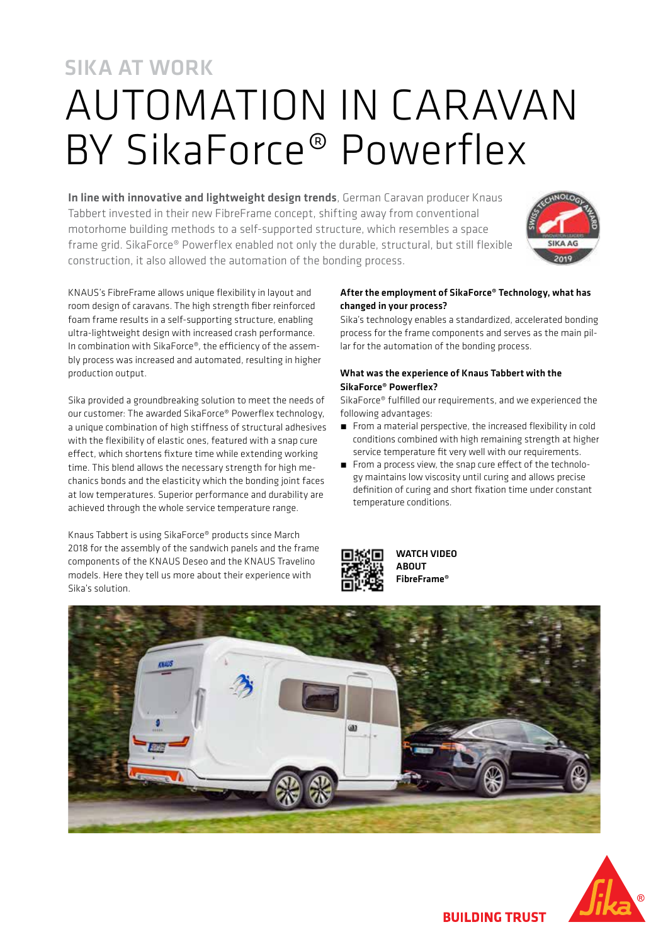# SIKA AT WORK AUTOMATION IN CARAVAN BY SikaForce® Powerflex

In line with innovative and lightweight design trends, German Caravan producer Knaus Tabbert invested in their new FibreFrame concept, shifting away from conventional motorhome building methods to a self-supported structure, which resembles a space frame grid. SikaForce® Powerflex enabled not only the durable, structural, but still flexible construction, it also allowed the automation of the bonding process.



KNAUS's FibreFrame allows unique flexibility in layout and room design of caravans. The high strength fiber reinforced foam frame results in a self-supporting structure, enabling ultra-lightweight design with increased crash performance. In combination with SikaForce®, the efficiency of the assembly process was increased and automated, resulting in higher production output.

Sika provided a groundbreaking solution to meet the needs of our customer: The awarded SikaForce® Powerflex technology, a unique combination of high stiffness of structural adhesives with the flexibility of elastic ones, featured with a snap cure effect, which shortens fixture time while extending working time. This blend allows the necessary strength for high mechanics bonds and the elasticity which the bonding joint faces at low temperatures. Superior performance and durability are achieved through the whole service temperature range.

Knaus Tabbert is using SikaForce® products since March 2018 for the assembly of the sandwich panels and the frame components of the KNAUS Deseo and the KNAUS Travelino models. Here they tell us more about their experience with Sika's solution.

### After the employment of SikaForce® Technology, what has changed in your process?

Sika's technology enables a standardized, accelerated bonding process for the frame components and serves as the main pillar for the automation of the bonding process.

### What was the experience of Knaus Tabbert with the SikaForce® Powerflex?

SikaForce® fulfilled our requirements, and we experienced the following advantages:

- From a material perspective, the increased flexibility in cold conditions combined with high remaining strength at higher service temperature fit very well with our requirements.
- $\blacksquare$  From a process view, the snap cure effect of the technology maintains low viscosity until curing and allows precise definition of curing and short fixation time under constant temperature conditions.



WATCH VIDEO ABOUT FibreFrame®